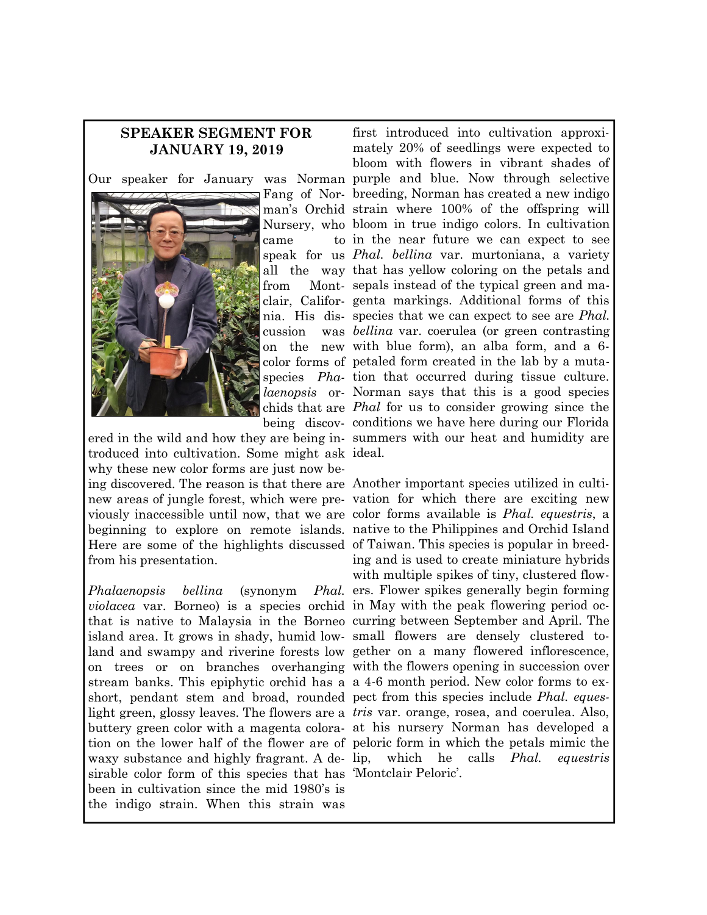## **SPEAKER SEGMENT FOR JANUARY 19, 2019**



came cussion

troduced into cultivation. Some might ask ideal. why these new color forms are just now being discovered. The reason is that there are Another important species utilized in culti-Here are some of the highlights discussed of Taiwan. This species is popular in breedfrom his presentation.

*Phalaenopsis bellina* (synonym *violacea* var. Borneo) is a species orchid in May with the peak flowering period ocisland area. It grows in shady, humid low-small flowers are densely clustered tostream banks. This epiphytic orchid has a a 4-6 month period. New color forms to exshort, pendant stem and broad, rounded pect from this species include *Phal. eques*waxy substance and highly fragrant. A de- lip, sirable color form of this species that has 'Montclair Peloric'. been in cultivation since the mid 1980's is the indigo strain. When this strain was

Our speaker for January was Norman purple and blue. Now through selective Fang of Nor-breeding, Norman has created a new indigo man's Orchid strain where 100% of the offspring will Nursery, who bloom in true indigo colors. In cultivation speak for us *Phal. bellina* var. murtoniana, a variety all the way that has yellow coloring on the petals and from Mont-sepals instead of the typical green and maclair, Califor-genta markings. Additional forms of this nia. His dis-species that we can expect to see are *Phal.*  on the new with blue form), an alba form, and a 6 color forms of petaled form created in the lab by a mutaspecies *Pha-*tion that occurred during tissue culture. *laenopsis* or-Norman says that this is a good species chids that are *Phal* for us to consider growing since the being discov-conditions we have here during our Florida ered in the wild and how they are being in-summers with our heat and humidity are first introduced into cultivation approximately 20% of seedlings were expected to bloom with flowers in vibrant shades of in the near future we can expect to see *bellina* var. coerulea (or green contrasting

new areas of jungle forest, which were pre-vation for which there are exciting new viously inaccessible until now, that we are color forms available is *Phal. equestris*, a beginning to explore on remote islands. native to the Philippines and Orchid Island that is native to Malaysia in the Borneo curring between September and April. The land and swampy and riverine forests low gether on a many flowered inflorescence, on trees or on branches overhanging with the flowers opening in succession over light green, glossy leaves. The flowers are a *tris* var. orange, rosea, and coerulea. Also, buttery green color with a magenta colora-at his nursery Norman has developed a tion on the lower half of the flower are of peloric form in which the petals mimic the ing and is used to create miniature hybrids with multiple spikes of tiny, clustered flow-Phal. ers. Flower spikes generally begin forming which he calls *Phal. equestris*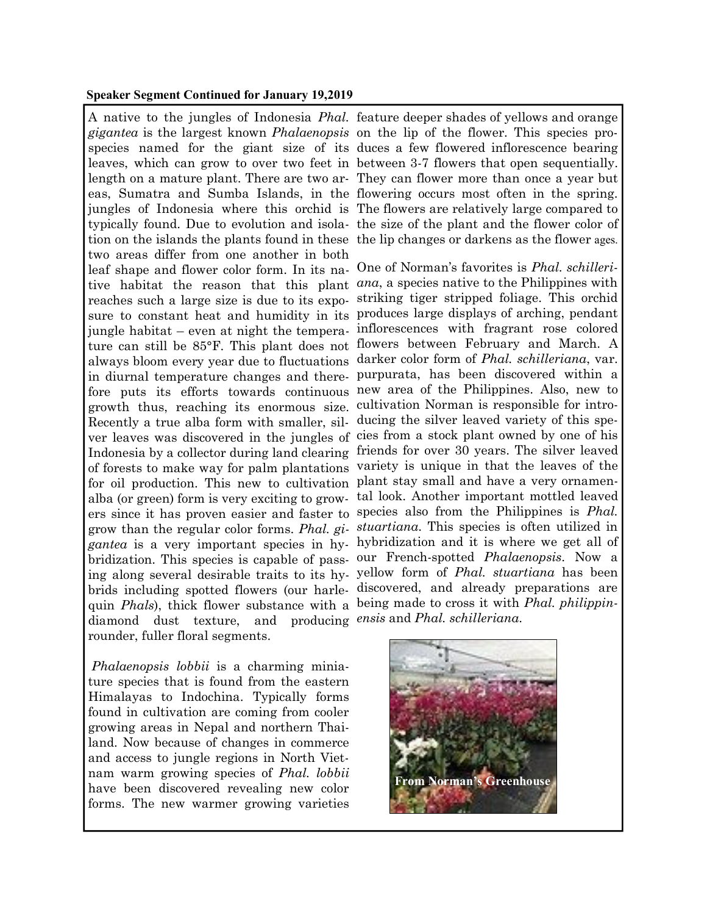## **Speaker Segment Continued for January 19,2019**

*gigantea* is the largest known *Phalaenopsis*  on the lip of the flower. This species protion on the islands the plants found in these the lip changes or darkens as the flower ages. two areas differ from one another in both leaf shape and flower color form. In its na-One of Norman's favorites is *Phal. schilleri*growth thus, reaching its enormous size. cultivation Norman is responsible for intro-Recently a true alba form with smaller, sil-ducing the silver leaved variety of this spefor oil production. This new to cultivation plant stay small and have a very ornamenquin *Phals*), thick flower substance with a being made to cross it with *Phal. philippin*diamond dust texture, and producing *ensis* and *Phal. schilleriana*. rounder, fuller floral segments.

*Phalaenopsis lobbii* is a charming miniature species that is found from the eastern Himalayas to Indochina. Typically forms found in cultivation are coming from cooler growing areas in Nepal and northern Thailand. Now because of changes in commerce and access to jungle regions in North Vietnam warm growing species of *Phal. lobbii*  have been discovered revealing new color forms. The new warmer growing varieties

A native to the jungles of Indonesia *Phal.*  feature deeper shades of yellows and orange species named for the giant size of its duces a few flowered inflorescence bearing leaves, which can grow to over two feet in between 3-7 flowers that open sequentially. length on a mature plant. There are two ar-They can flower more than once a year but eas, Sumatra and Sumba Islands, in the flowering occurs most often in the spring. jungles of Indonesia where this orchid is The flowers are relatively large compared to typically found. Due to evolution and isola-the size of the plant and the flower color of

tive habitat the reason that this plant *ana*, a species native to the Philippines with reaches such a large size is due to its expo-striking tiger stripped foliage. This orchid sure to constant heat and humidity in its produces large displays of arching, pendant jungle habitat – even at night the tempera-inflorescences with fragrant rose colored ture can still be 85°F. This plant does not flowers between February and March. A always bloom every year due to fluctuations darker color form of *Phal. schilleriana*, var. in diurnal temperature changes and there-purpurata, has been discovered within a fore puts its efforts towards continuous new area of the Philippines. Also, new to ver leaves was discovered in the jungles of cies from a stock plant owned by one of his Indonesia by a collector during land clearing friends for over 30 years. The silver leaved of forests to make way for palm plantations variety is unique in that the leaves of the alba (or green) form is very exciting to grow-tal look. Another important mottled leaved ers since it has proven easier and faster to species also from the Philippines is *Phal.*  grow than the regular color forms. *Phal. gi-stuartiana*. This species is often utilized in *gantea* is a very important species in hy-hybridization and it is where we get all of bridization. This species is capable of pass-our French-spotted *Phalaenopsis*. Now a ing along several desirable traits to its hy-yellow form of *Phal. stuartiana* has been brids including spotted flowers (our harle-discovered, and already preparations are